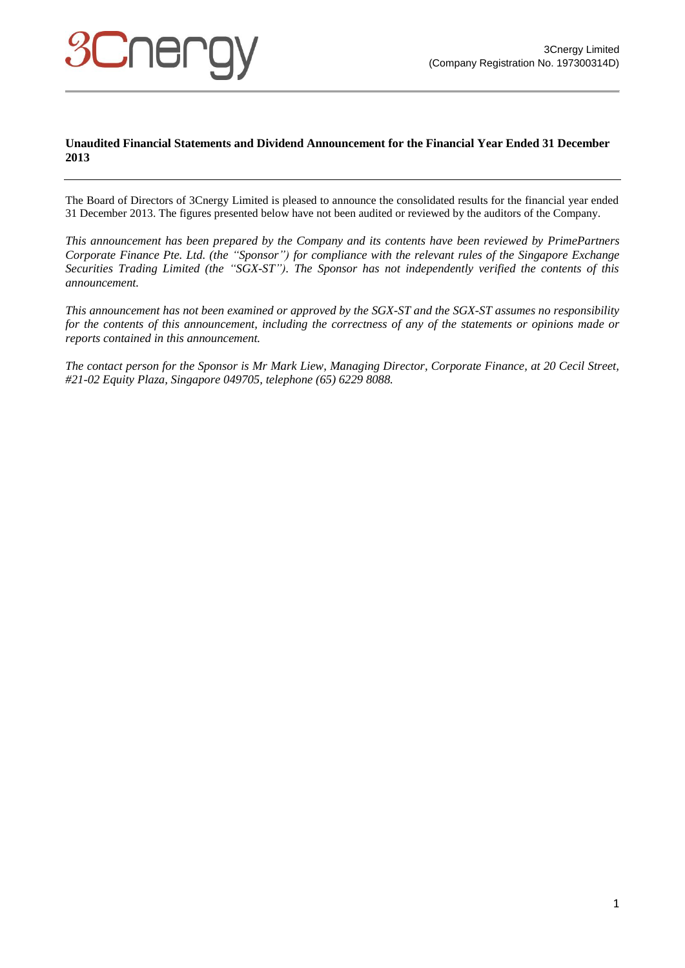## **Unaudited Financial Statements and Dividend Announcement for the Financial Year Ended 31 December 2013**

The Board of Directors of 3Cnergy Limited is pleased to announce the consolidated results for the financial year ended 31 December 2013. The figures presented below have not been audited or reviewed by the auditors of the Company.

*This announcement has been prepared by the Company and its contents have been reviewed by PrimePartners Corporate Finance Pte. Ltd. (the "Sponsor") for compliance with the relevant rules of the Singapore Exchange Securities Trading Limited (the "SGX-ST"). The Sponsor has not independently verified the contents of this announcement.*

*This announcement has not been examined or approved by the SGX-ST and the SGX-ST assumes no responsibility for the contents of this announcement, including the correctness of any of the statements or opinions made or reports contained in this announcement.*

*The contact person for the Sponsor is Mr Mark Liew, Managing Director, Corporate Finance, at 20 Cecil Street, #21-02 Equity Plaza, Singapore 049705, telephone (65) 6229 8088.*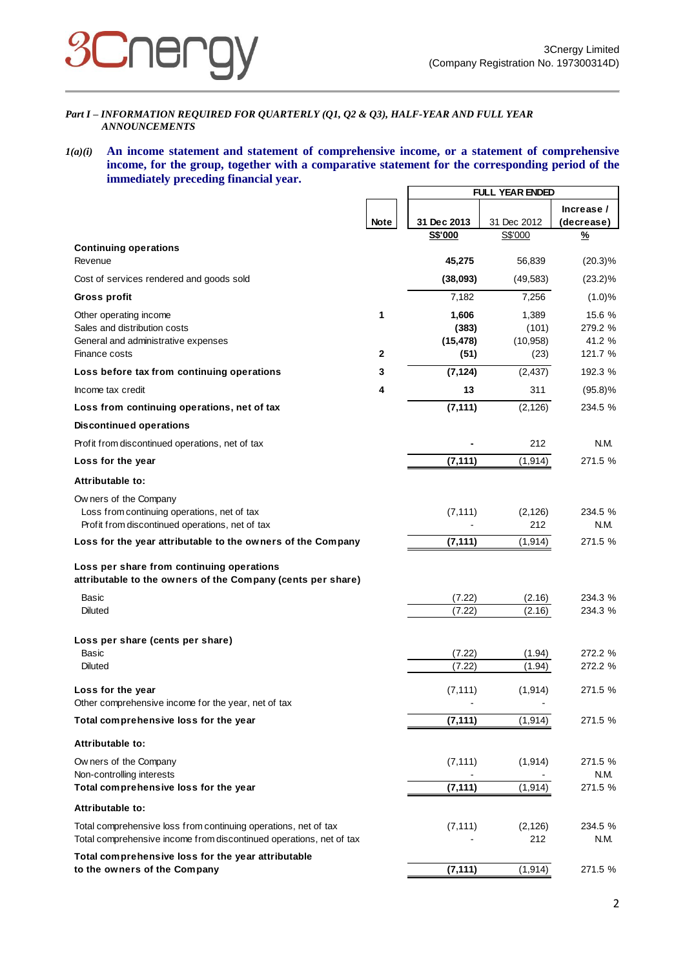

### *Part I – INFORMATION REQUIRED FOR QUARTERLY (Q1, Q2 & Q3), HALF-YEAR AND FULL YEAR ANNOUNCEMENTS*

## *1(a)(i)* **An income statement and statement of comprehensive income, or a statement of comprehensive income, for the group, together with a comparative statement for the corresponding period of the immediately preceding financial year.**

|                                                                                                          |              |                | <b>FULL YEAR ENDED</b> |            |  |
|----------------------------------------------------------------------------------------------------------|--------------|----------------|------------------------|------------|--|
|                                                                                                          |              |                |                        | Increase / |  |
|                                                                                                          | <b>Note</b>  | 31 Dec 2013    | 31 Dec 2012            | (decrease) |  |
|                                                                                                          |              | <b>S\$'000</b> | S\$'000                | %          |  |
| <b>Continuing operations</b><br>Revenue                                                                  |              | 45,275         | 56,839                 | $(20.3)\%$ |  |
| Cost of services rendered and goods sold                                                                 |              | (38,093)       | (49, 583)              | $(23.2)\%$ |  |
| Gross profit                                                                                             |              | 7,182          | 7,256                  | (1.0)%     |  |
| Other operating income                                                                                   | 1            | 1,606          | 1,389                  | 15.6 %     |  |
| Sales and distribution costs                                                                             |              | (383)          | (101)                  | 279.2 %    |  |
| General and administrative expenses                                                                      |              | (15, 478)      | (10, 958)              | 41.2 %     |  |
| Finance costs                                                                                            | $\mathbf{2}$ | (51)           | (23)                   | 121.7 %    |  |
| Loss before tax from continuing operations                                                               | 3            | (7, 124)       | (2, 437)               | 192.3 %    |  |
| Income tax credit                                                                                        | 4            | 13             | 311                    | $(95.8)\%$ |  |
| Loss from continuing operations, net of tax                                                              |              | (7, 111)       | (2, 126)               | 234.5 %    |  |
| <b>Discontinued operations</b>                                                                           |              |                |                        |            |  |
| Profit from discontinued operations, net of tax                                                          |              |                | 212                    | N.M.       |  |
| Loss for the year                                                                                        |              | (7, 111)       | (1, 914)               | 271.5 %    |  |
| Attributable to:                                                                                         |              |                |                        |            |  |
| Ow ners of the Company                                                                                   |              |                |                        |            |  |
| Loss from continuing operations, net of tax                                                              |              | (7, 111)       | (2, 126)               | 234.5 %    |  |
| Profit from discontinued operations, net of tax                                                          |              |                | 212                    | N.M.       |  |
| Loss for the year attributable to the owners of the Company                                              |              | (7, 111)       | (1, 914)               | 271.5 %    |  |
| Loss per share from continuing operations<br>attributable to the owners of the Company (cents per share) |              |                |                        |            |  |
| Basic                                                                                                    |              | (7.22)         | (2.16)                 | 234.3 %    |  |
| <b>Diluted</b>                                                                                           |              | (7.22)         | (2.16)                 | 234.3 %    |  |
| Loss per share (cents per share)                                                                         |              |                |                        |            |  |
| Basic                                                                                                    |              | (7.22)         | (1.94)                 | 272.2 %    |  |
| <b>Diluted</b>                                                                                           |              | (7.22)         | (1.94)                 | 272.2 %    |  |
| Loss for the year                                                                                        |              | (7, 111)       | (1, 914)               | 271.5 %    |  |
| Other comprehensive income for the year, net of tax                                                      |              |                |                        |            |  |
| Total comprehensive loss for the year                                                                    |              | (7, 111)       | (1, 914)               | 271.5 %    |  |
| Attributable to:                                                                                         |              |                |                        |            |  |
| Ow ners of the Company                                                                                   |              | (7, 111)       | (1, 914)               | 271.5 %    |  |
| Non-controlling interests                                                                                |              |                |                        | N.M.       |  |
| Total comprehensive loss for the year                                                                    |              | (7, 111)       | (1, 914)               | 271.5 %    |  |
| Attributable to:                                                                                         |              |                |                        |            |  |
| Total comprehensive loss from continuing operations, net of tax                                          |              | (7, 111)       | (2, 126)               | 234.5 %    |  |
| Total comprehensive income from discontinued operations, net of tax                                      |              |                | 212                    | N.M.       |  |
| Total comprehensive loss for the year attributable                                                       |              |                |                        |            |  |
| to the owners of the Company                                                                             |              | (7, 111)       | (1, 914)               | 271.5 %    |  |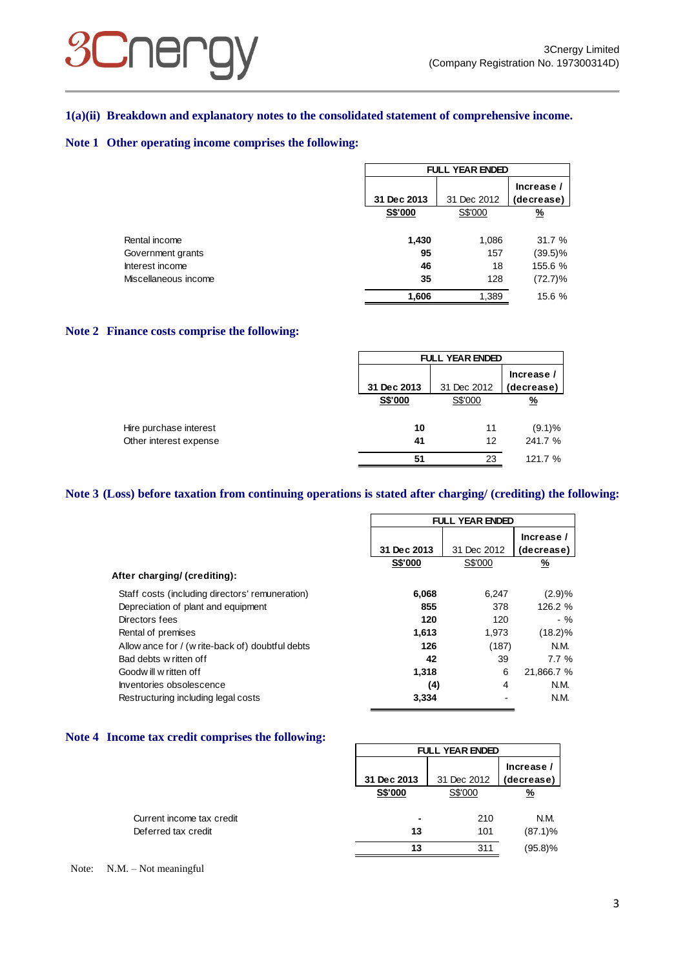## **SCNEL**

## **1(a)(ii) Breakdown and explanatory notes to the consolidated statement of comprehensive income.**

## **Note 1 Other operating income comprises the following:**

|                      | <b>FULL YEAR ENDED</b> |             |            |  |
|----------------------|------------------------|-------------|------------|--|
|                      |                        |             | Increase / |  |
|                      | 31 Dec 2013            | 31 Dec 2012 | (decrease) |  |
|                      | S\$'000                | S\$'000     | <u>%</u>   |  |
| Rental income        | 1,430                  | 1,086       | 31.7 %     |  |
| Government grants    | 95                     | 157         | (39.5)%    |  |
| Interest income      | 46                     | 18          | 155.6 %    |  |
| Miscellaneous income | 35                     | 128         | $(72.7)\%$ |  |
|                      | 1,606                  | 1,389       | 15.6 %     |  |

## **Note 2 Finance costs comprise the following:**

|                        |             | <b>FULL YEAR ENDED</b> |            |  |  |
|------------------------|-------------|------------------------|------------|--|--|
|                        |             |                        | Increase / |  |  |
|                        | 31 Dec 2013 | 31 Dec 2012            | (decrease) |  |  |
|                        | S\$'000     | S\$'000                | <u>%</u>   |  |  |
| Hire purchase interest | 10          | 11                     | $(9.1)\%$  |  |  |
| Other interest expense | 41          | 12                     | 241.7 %    |  |  |
|                        | 51          | 23                     | 121.7 %    |  |  |

## **Note 3 (Loss) before taxation from continuing operations is stated after charging/ (crediting) the following:**

|                                                  | <b>FULL YEAR ENDED</b> |             |            |  |
|--------------------------------------------------|------------------------|-------------|------------|--|
|                                                  |                        |             | Increase / |  |
|                                                  | 31 Dec 2013            | 31 Dec 2012 | (decrease) |  |
|                                                  | S\$'000                | S\$'000     | <u>%</u>   |  |
| After charging/ (crediting):                     |                        |             |            |  |
| Staff costs (including directors' remuneration)  | 6,068                  | 6.247       | (2.9)%     |  |
| Depreciation of plant and equipment              | 855                    | 378         | 126.2 %    |  |
| Directors fees                                   | 120                    | 120         | $-$ %      |  |
| Rental of premises                               | 1,613                  | 1.973       | $(18.2)\%$ |  |
| Allow ance for / (w rite-back of) doubtful debts | 126                    | (187)       | N.M.       |  |
| Bad debts w ritten off                           | 42                     | 39          | 7.7%       |  |
| Goodwill w ritten off                            | 1,318                  | 6           | 21,866.7 % |  |
| Inventories obsolescence                         | (4)                    | 4           | N.M.       |  |
| Restructuring including legal costs              | 3.334                  |             | N.M.       |  |

## **Note 4 Income tax credit comprises the following:**

|                           | <b>FULL YEAR ENDED</b> |             |                          |  |
|---------------------------|------------------------|-------------|--------------------------|--|
|                           | 31 Dec 2013            | 31 Dec 2012 | Increase /<br>(decrease) |  |
|                           | S\$'000                | S\$'000     | <u>%</u>                 |  |
| Current income tax credit | ۰                      | 210         | N.M.                     |  |
| Deferred tax credit       | 13                     | 101         | $(87.1)\%$               |  |
|                           | 13                     | 311         | $(95.8)$ %               |  |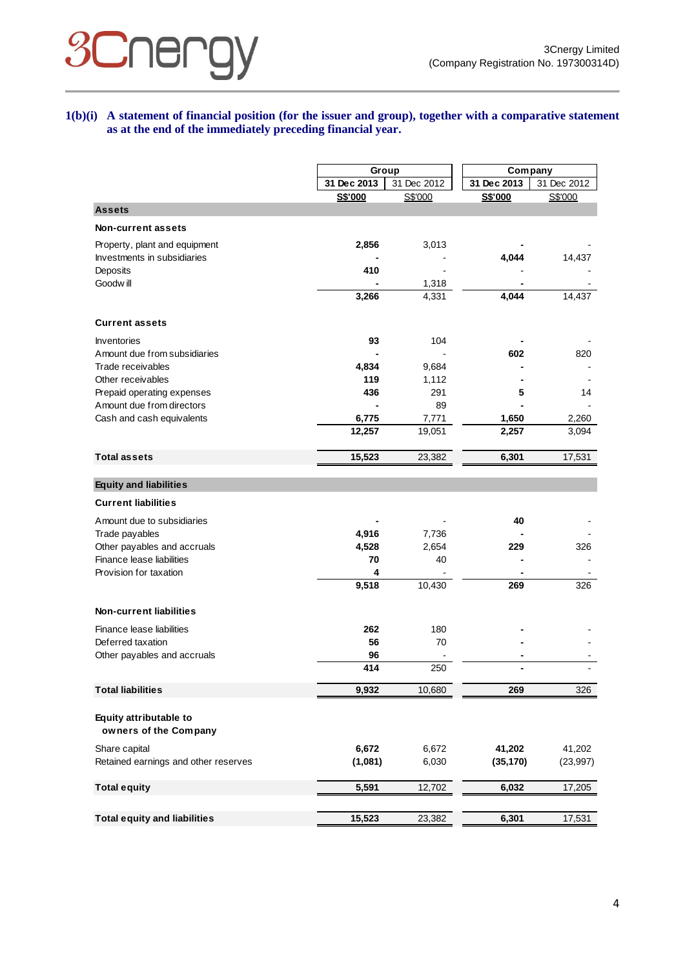## **1(b)(i) A statement of financial position (for the issuer and group), together with a comparative statement as at the end of the immediately preceding financial year.**

|                                                 |             | Group       | Company     |             |
|-------------------------------------------------|-------------|-------------|-------------|-------------|
|                                                 | 31 Dec 2013 | 31 Dec 2012 | 31 Dec 2013 | 31 Dec 2012 |
|                                                 | S\$'000     | S\$'000     | S\$'000     | S\$'000     |
| <b>Assets</b>                                   |             |             |             |             |
| Non-current assets                              |             |             |             |             |
| Property, plant and equipment                   | 2,856       | 3,013       |             |             |
| Investments in subsidiaries                     |             |             | 4,044       | 14,437      |
| Deposits                                        | 410         |             |             |             |
| Goodw ill                                       |             | 1,318       |             |             |
|                                                 | 3,266       | 4,331       | 4,044       | 14,437      |
| <b>Current assets</b>                           |             |             |             |             |
| Inventories                                     | 93          | 104         |             |             |
| Amount due from subsidiaries                    |             |             | 602         | 820         |
| Trade receivables                               | 4,834       | 9,684       |             |             |
| Other receivables                               | 119         | 1,112       |             |             |
| Prepaid operating expenses                      | 436         | 291         | 5           | 14          |
| Amount due from directors                       |             | 89          |             |             |
| Cash and cash equivalents                       | 6,775       | 7,771       | 1,650       | 2,260       |
|                                                 | 12,257      | 19,051      | 2,257       | 3,094       |
|                                                 |             |             |             |             |
| <b>Total assets</b>                             | 15,523      | 23,382      | 6,301       | 17,531      |
| <b>Equity and liabilities</b>                   |             |             |             |             |
| <b>Current liabilities</b>                      |             |             |             |             |
| Amount due to subsidiaries                      |             |             | 40          |             |
| Trade payables                                  | 4,916       | 7,736       |             |             |
| Other payables and accruals                     | 4,528       | 2,654       | 229         | 326         |
| Finance lease liabilities                       | 70          | 40          |             |             |
| Provision for taxation                          | 4           |             |             |             |
|                                                 | 9,518       | 10,430      | 269         | 326         |
| <b>Non-current liabilities</b>                  |             |             |             |             |
| Finance lease liabilities                       | 262         |             |             |             |
| Deferred taxation                               | 56          | 180<br>70   |             |             |
| Other payables and accruals                     | 96          |             |             |             |
|                                                 | 414         | 250         |             |             |
| <b>Total liabilities</b>                        | 9,932       | 10,680      | 269         | 326         |
|                                                 |             |             |             |             |
| Equity attributable to<br>owners of the Company |             |             |             |             |
| Share capital                                   | 6,672       | 6,672       | 41,202      | 41,202      |
| Retained earnings and other reserves            | (1,081)     | 6,030       | (35, 170)   | (23, 997)   |
|                                                 |             |             |             |             |
| <b>Total equity</b>                             | 5,591       | 12,702      | 6,032       | 17,205      |
|                                                 |             |             |             |             |
| <b>Total equity and liabilities</b>             | 15,523      | 23,382      | 6,301       | 17,531      |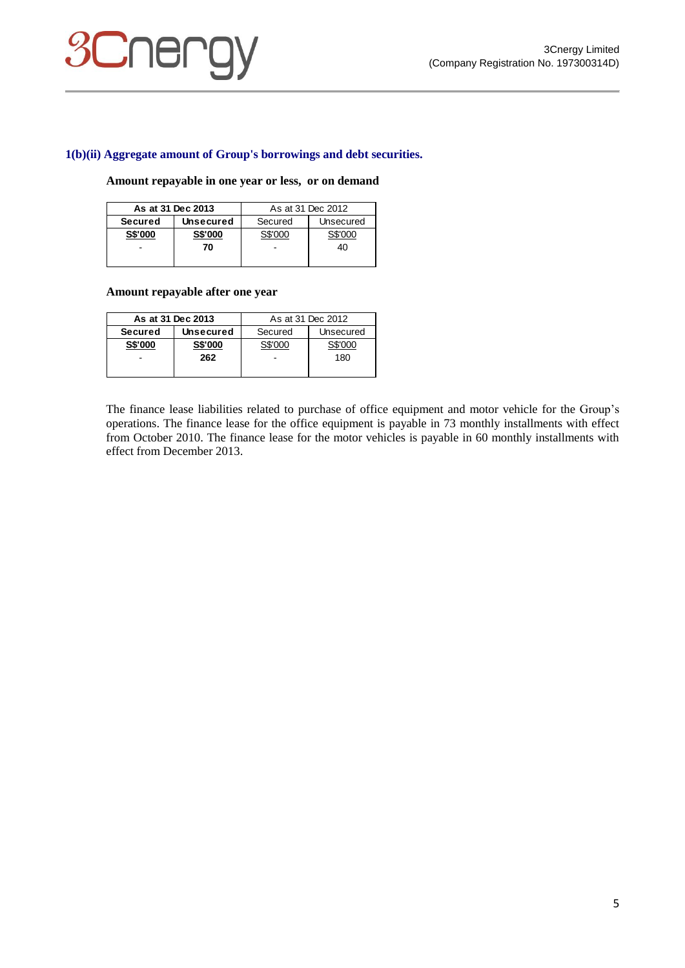# **SCNEI**

## **1(b)(ii) Aggregate amount of Group's borrowings and debt securities.**

#### **Amount repayable in one year or less, or on demand**

| As at 31 Dec 2013 |                  | As at 31 Dec 2012    |    |  |
|-------------------|------------------|----------------------|----|--|
| <b>Secured</b>    | <b>Unsecured</b> | Secured<br>Unsecured |    |  |
| <b>S\$'000</b>    | <b>S\$'000</b>   | S\$'000              |    |  |
|                   | 70               |                      | 40 |  |
|                   |                  |                      |    |  |

## **Amount repayable after one year**

| As at 31 Dec 2013 |                  | As at 31 Dec 2012    |         |
|-------------------|------------------|----------------------|---------|
| <b>Secured</b>    | <b>Unsecured</b> | Secured<br>Unsecured |         |
| S\$'000           | S\$'000          | S\$'000              | S\$'000 |
|                   | 262              |                      | 180     |
|                   |                  |                      |         |

The finance lease liabilities related to purchase of office equipment and motor vehicle for the Group's operations. The finance lease for the office equipment is payable in 73 monthly installments with effect from October 2010. The finance lease for the motor vehicles is payable in 60 monthly installments with effect from December 2013.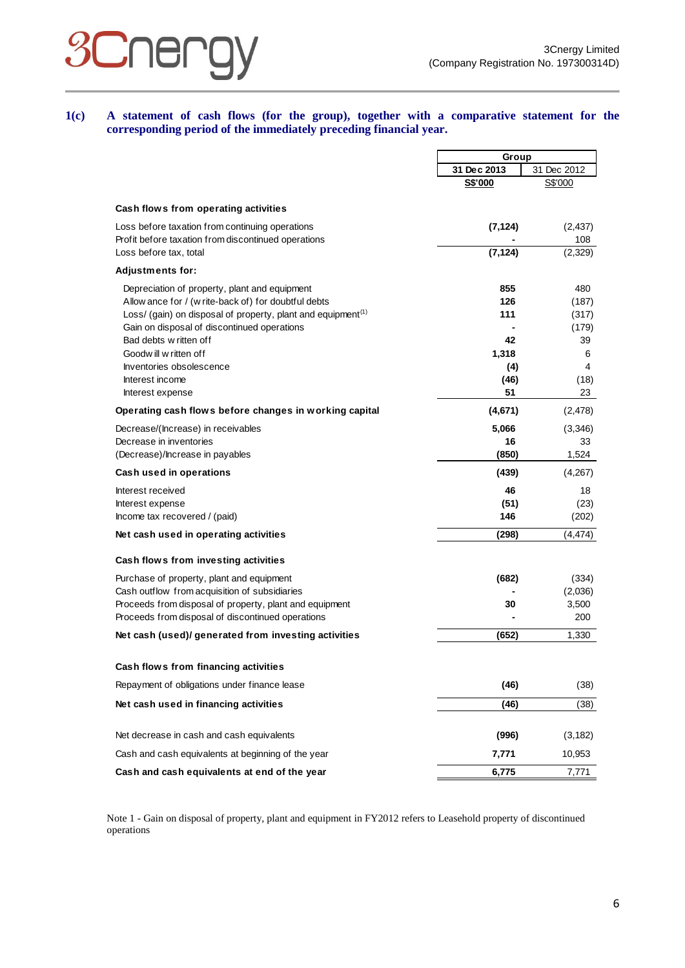

**1(c) A statement of cash flows (for the group), together with a comparative statement for the corresponding period of the immediately preceding financial year.**

|                                                                          | Group       |             |
|--------------------------------------------------------------------------|-------------|-------------|
|                                                                          | 31 Dec 2013 | 31 Dec 2012 |
|                                                                          | S\$'000     | S\$'000     |
| Cash flows from operating activities                                     |             |             |
| Loss before taxation from continuing operations                          | (7, 124)    | (2, 437)    |
| Profit before taxation from discontinued operations                      |             | 108         |
| Loss before tax, total                                                   | (7, 124)    | (2,329)     |
| <b>Adjustments for:</b>                                                  |             |             |
| Depreciation of property, plant and equipment                            | 855         | 480         |
| Allow ance for / (w rite-back of) for doubtful debts                     | 126         | (187)       |
| Loss/ (gain) on disposal of property, plant and equipment <sup>(1)</sup> | 111         | (317)       |
| Gain on disposal of discontinued operations                              |             | (179)       |
| Bad debts w ritten off                                                   | 42          | 39          |
| Goodw ill w ritten of f                                                  | 1,318       | 6           |
| Inventories obsolescence                                                 | (4)         | 4           |
| Interest income                                                          | (46)        | (18)        |
| Interest expense                                                         | 51          | 23          |
| Operating cash flows before changes in working capital                   | (4,671)     | (2, 478)    |
| Decrease/(Increase) in receivables                                       | 5,066       | (3,346)     |
| Decrease in inventories                                                  | 16          | 33          |
| (Decrease)/Increase in payables                                          | (850)       | 1,524       |
| <b>Cash used in operations</b>                                           | (439)       | (4,267)     |
| Interest received                                                        | 46          | 18          |
| Interest expense                                                         | (51)        | (23)        |
| Income tax recovered / (paid)                                            | 146         | (202)       |
| Net cash used in operating activities                                    | (298)       | (4, 474)    |
| Cash flows from investing activities                                     |             |             |
| Purchase of property, plant and equipment                                | (682)       | (334)       |
| Cash outflow from acquisition of subsidiaries                            |             | (2,036)     |
| Proceeds from disposal of property, plant and equipment                  | 30          | 3,500       |
| Proceeds from disposal of discontinued operations                        |             | 200         |
| Net cash (used)/ generated from investing activities                     | (652)       | 1,330       |
|                                                                          |             |             |
| Cash flows from financing activities                                     |             |             |
| Repayment of obligations under finance lease                             | (46)        | (38)        |
| Net cash used in financing activities                                    | (46)        | (38)        |
| Net decrease in cash and cash equivalents                                | (996)       | (3, 182)    |
| Cash and cash equivalents at beginning of the year                       | 7,771       | 10,953      |
| Cash and cash equivalents at end of the year                             | 6,775       | 7,771       |

Note 1 - Gain on disposal of property, plant and equipment in FY2012 refers to Leasehold property of discontinued operations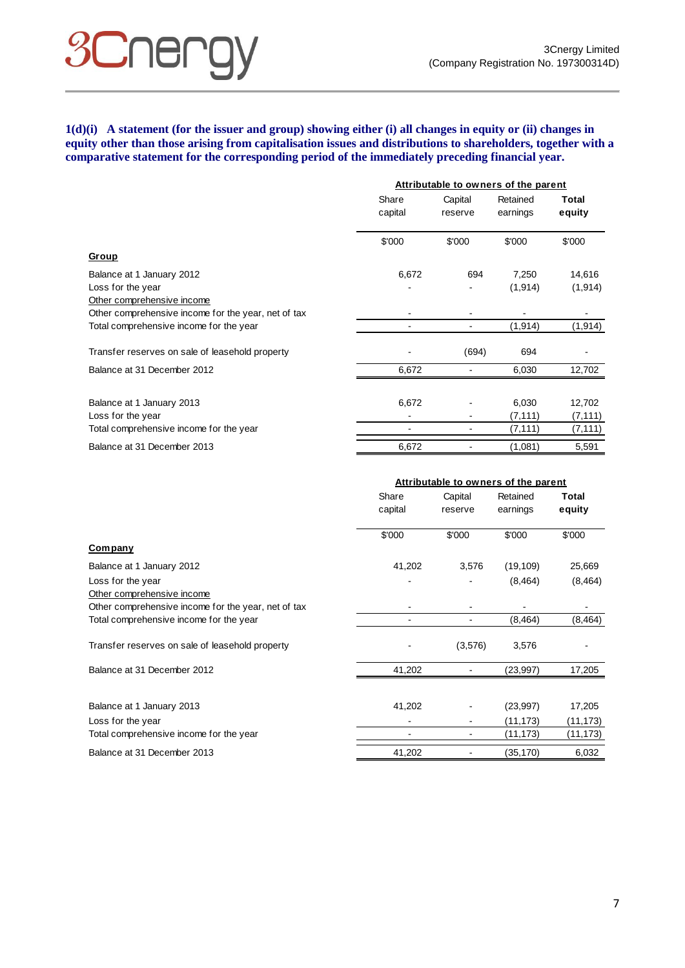## **SCUEL**

## **1(d)(i) A statement (for the issuer and group) showing either (i) all changes in equity or (ii) changes in equity other than those arising from capitalisation issues and distributions to shareholders, together with a comparative statement for the corresponding period of the immediately preceding financial year.**

|                                                     | Attributable to owners of the parent |                    |                      |                 |
|-----------------------------------------------------|--------------------------------------|--------------------|----------------------|-----------------|
|                                                     | Share<br>capital                     | Capital<br>reserve | Retained<br>earnings | Total<br>equity |
|                                                     | \$'000                               | \$'000             | \$'000               | \$'000          |
| <b>Group</b>                                        |                                      |                    |                      |                 |
| Balance at 1 January 2012                           | 6,672                                | 694                | 7,250                | 14,616          |
| Loss for the year                                   |                                      |                    | (1, 914)             | (1, 914)        |
| Other comprehensive income                          |                                      |                    |                      |                 |
| Other comprehensive income for the year, net of tax |                                      |                    |                      |                 |
| Total comprehensive income for the year             |                                      |                    | (1, 914)             | (1, 914)        |
| Transfer reserves on sale of leasehold property     |                                      | (694)              | 694                  |                 |
| Balance at 31 December 2012                         | 6,672                                |                    | 6,030                | 12,702          |
|                                                     |                                      |                    |                      |                 |
| Balance at 1 January 2013                           | 6,672                                |                    | 6,030                | 12,702          |
| Loss for the year                                   |                                      |                    | (7, 111)             | (7, 111)        |
| Total comprehensive income for the year             |                                      |                    | (7, 111)             | (7, 111)        |
| Balance at 31 December 2013                         | 6,672                                |                    | (1,081)              | 5,591           |

|                                                     | Attributable to owners of the parent |                    |                      |                 |  |
|-----------------------------------------------------|--------------------------------------|--------------------|----------------------|-----------------|--|
|                                                     | Share<br>capital                     | Capital<br>reserve | Retained<br>earnings | Total<br>equity |  |
|                                                     | \$'000                               | \$'000             | \$'000               | \$'000          |  |
| <b>Company</b>                                      |                                      |                    |                      |                 |  |
| Balance at 1 January 2012                           | 41,202                               | 3,576              | (19, 109)            | 25,669          |  |
| Loss for the year                                   |                                      |                    | (8, 464)             | (8, 464)        |  |
| Other comprehensive income                          |                                      |                    |                      |                 |  |
| Other comprehensive income for the year, net of tax |                                      |                    |                      |                 |  |
| Total comprehensive income for the year             |                                      |                    | (8, 464)             | (8, 464)        |  |
| Transfer reserves on sale of leasehold property     |                                      | (3,576)            | 3,576                |                 |  |
| Balance at 31 December 2012                         | 41,202                               |                    | (23,997)             | 17,205          |  |
|                                                     |                                      |                    |                      |                 |  |
| Balance at 1 January 2013                           | 41,202                               |                    | (23, 997)            | 17,205          |  |
| Loss for the year                                   |                                      |                    | (11,173)             | (11, 173)       |  |
| Total comprehensive income for the year             |                                      |                    | (11,173)             | (11,173)        |  |
| Balance at 31 December 2013                         | 41,202                               |                    | (35,170)             | 6,032           |  |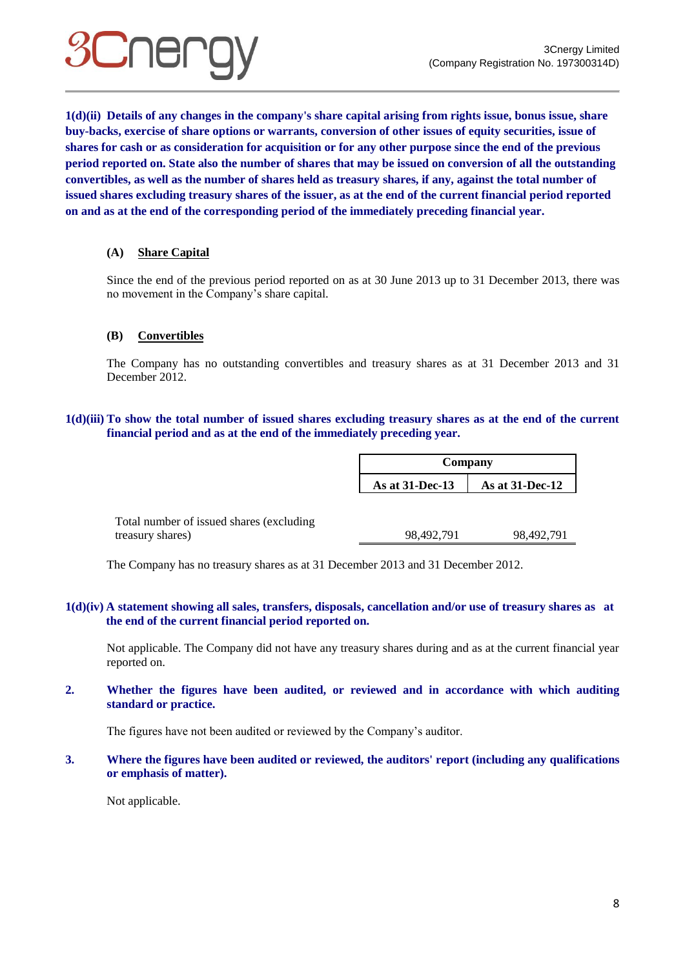

**1(d)(ii) Details of any changes in the company's share capital arising from rights issue, bonus issue, share buy-backs, exercise of share options or warrants, conversion of other issues of equity securities, issue of shares for cash or as consideration for acquisition or for any other purpose since the end of the previous period reported on. State also the number of shares that may be issued on conversion of all the outstanding convertibles, as well as the number of shares held as treasury shares, if any, against the total number of issued shares excluding treasury shares of the issuer, as at the end of the current financial period reported on and as at the end of the corresponding period of the immediately preceding financial year.**

## **(A) Share Capital**

Since the end of the previous period reported on as at 30 June 2013 up to 31 December 2013, there was no movement in the Company's share capital.

## **(B) Convertibles**

The Company has no outstanding convertibles and treasury shares as at 31 December 2013 and 31 December 2012.

## **1(d)(iii) To show the total number of issued shares excluding treasury shares as at the end of the current financial period and as at the end of the immediately preceding year.**

|                                           | Company         |                    |
|-------------------------------------------|-----------------|--------------------|
|                                           | As at 31-Dec-13 | As at $31$ -Dec-12 |
|                                           |                 |                    |
| Total number of issued shares (excluding) |                 |                    |

treasury shares) 98,492,791 98,492,791 98,492,791

The Company has no treasury shares as at 31 December 2013 and 31 December 2012.

## **1(d)(iv) A statement showing all sales, transfers, disposals, cancellation and/or use of treasury shares as at the end of the current financial period reported on.**

Not applicable. The Company did not have any treasury shares during and as at the current financial year reported on.

## **2. Whether the figures have been audited, or reviewed and in accordance with which auditing standard or practice.**

The figures have not been audited or reviewed by the Company's auditor.

**3. Where the figures have been audited or reviewed, the auditors' report (including any qualifications or emphasis of matter).**

Not applicable.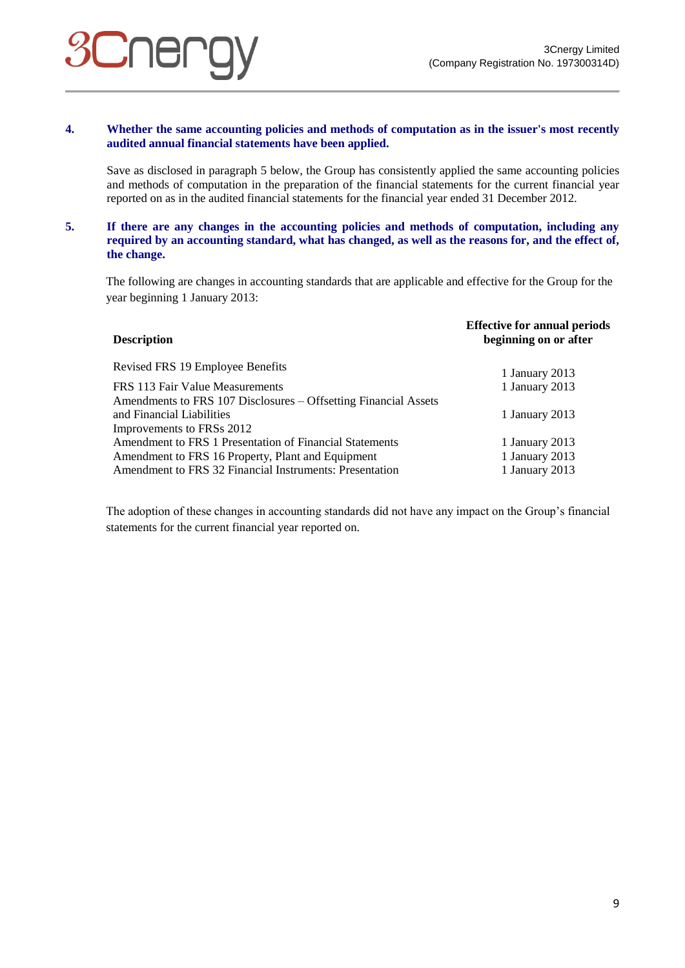# **UNEI**

## **4. Whether the same accounting policies and methods of computation as in the issuer's most recently audited annual financial statements have been applied.**

Save as disclosed in paragraph 5 below, the Group has consistently applied the same accounting policies and methods of computation in the preparation of the financial statements for the current financial year reported on as in the audited financial statements for the financial year ended 31 December 2012.

## **5. If there are any changes in the accounting policies and methods of computation, including any required by an accounting standard, what has changed, as well as the reasons for, and the effect of, the change.**

The following are changes in accounting standards that are applicable and effective for the Group for the year beginning 1 January 2013:

| <b>Description</b>                                              | <b>Effective for annual periods</b><br>beginning on or after |  |  |
|-----------------------------------------------------------------|--------------------------------------------------------------|--|--|
| Revised FRS 19 Employee Benefits                                | 1 January 2013                                               |  |  |
| FRS 113 Fair Value Measurements                                 | 1 January 2013                                               |  |  |
| Amendments to FRS 107 Disclosures – Offsetting Financial Assets |                                                              |  |  |
| and Financial Liabilities                                       | 1 January 2013                                               |  |  |
| Improvements to FRSs 2012                                       |                                                              |  |  |
| Amendment to FRS 1 Presentation of Financial Statements         | 1 January 2013                                               |  |  |
| Amendment to FRS 16 Property, Plant and Equipment               | 1 January 2013                                               |  |  |
| Amendment to FRS 32 Financial Instruments: Presentation         | 1 January 2013                                               |  |  |
|                                                                 |                                                              |  |  |

The adoption of these changes in accounting standards did not have any impact on the Group's financial statements for the current financial year reported on.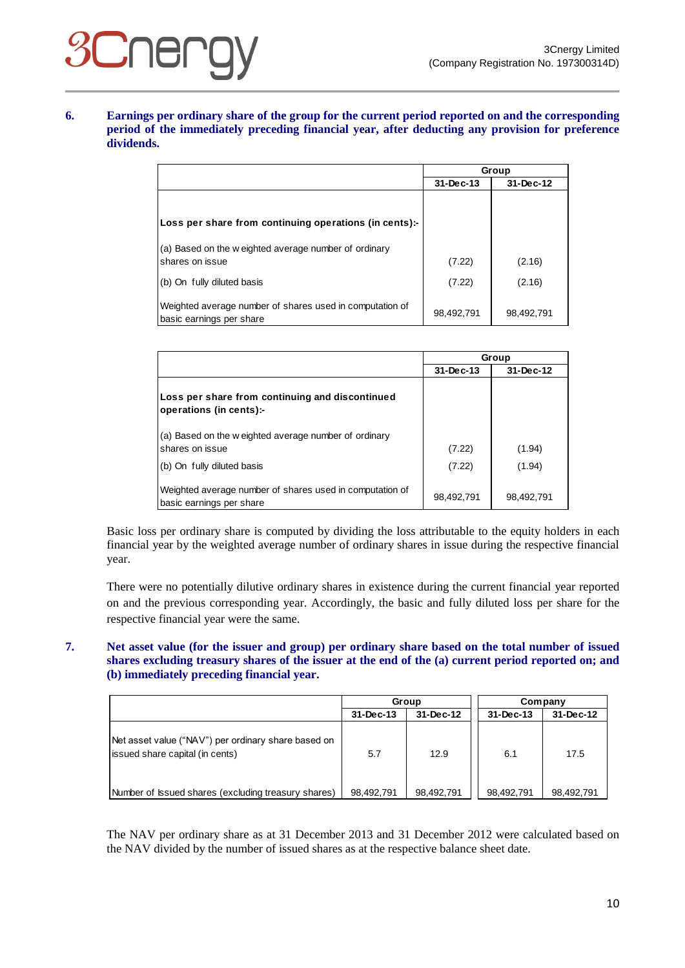# **Siner**

## **6. Earnings per ordinary share of the group for the current period reported on and the corresponding period of the immediately preceding financial year, after deducting any provision for preference dividends.**

|                                                                                      | Group      |            |  |
|--------------------------------------------------------------------------------------|------------|------------|--|
|                                                                                      | 31-Dec-13  | 31-Dec-12  |  |
|                                                                                      |            |            |  |
| Loss per share from continuing operations (in cents):-                               |            |            |  |
| (a) Based on the w eighted average number of ordinary<br>shares on issue             | (7.22)     | (2.16)     |  |
| (b) On fully diluted basis                                                           | (7.22)     | (2.16)     |  |
| Weighted average number of shares used in computation of<br>basic earnings per share | 98,492,791 | 98,492,791 |  |

|                                                                                                        | Group            |                  |  |  |
|--------------------------------------------------------------------------------------------------------|------------------|------------------|--|--|
|                                                                                                        | 31-Dec-13        | 31-Dec-12        |  |  |
| Loss per share from continuing and discontinued<br>operations (in cents):-                             |                  |                  |  |  |
| (a) Based on the w eighted average number of ordinary<br>shares on issue<br>(b) On fully diluted basis | (7.22)<br>(7.22) | (1.94)<br>(1.94) |  |  |
| Weighted average number of shares used in computation of<br>basic earnings per share                   | 98,492,791       | 98,492,791       |  |  |

Basic loss per ordinary share is computed by dividing the loss attributable to the equity holders in each financial year by the weighted average number of ordinary shares in issue during the respective financial year.

There were no potentially dilutive ordinary shares in existence during the current financial year reported on and the previous corresponding year. Accordingly, the basic and fully diluted loss per share for the respective financial year were the same.

## **7. Net asset value (for the issuer and group) per ordinary share based on the total number of issued shares excluding treasury shares of the issuer at the end of the (a) current period reported on; and (b) immediately preceding financial year.**

|                                                                                         | Group           |            | Company    |            |
|-----------------------------------------------------------------------------------------|-----------------|------------|------------|------------|
|                                                                                         | $31 - Dec - 13$ | 31-Dec-12  | 31-Dec-13  | 31-Dec-12  |
| Net asset value ("NAV") per ordinary share based on<br>(issued share capital (in cents) | 5.7             | 12.9       | 6.1        | 17.5       |
| Number of Issued shares (excluding treasury shares)                                     | 98,492,791      | 98,492,791 | 98,492,791 | 98,492,791 |

The NAV per ordinary share as at 31 December 2013 and 31 December 2012 were calculated based on the NAV divided by the number of issued shares as at the respective balance sheet date.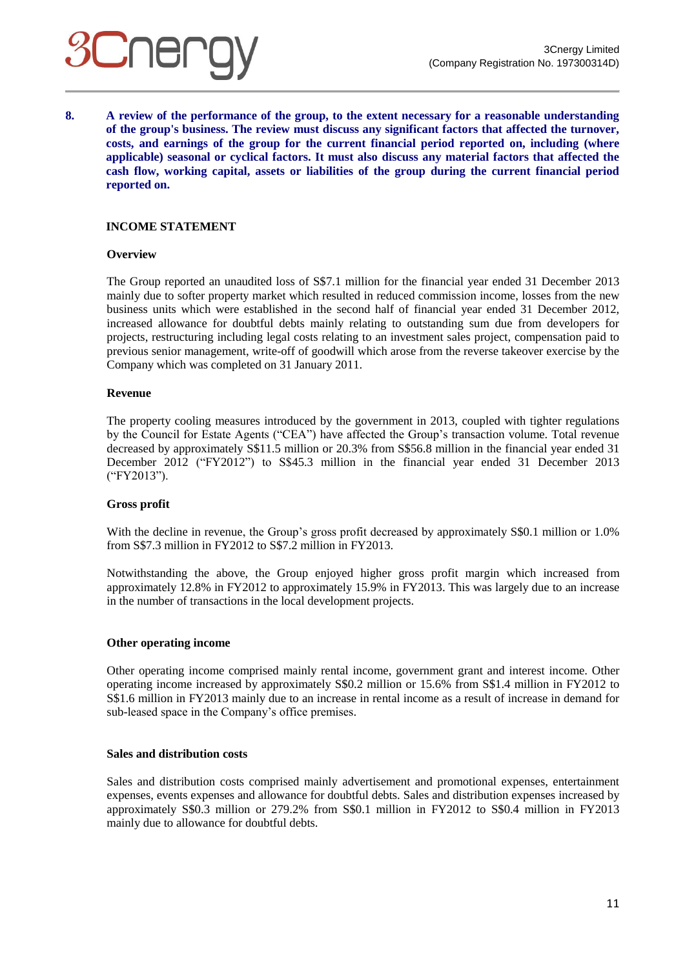## **Siner**

**8. A review of the performance of the group, to the extent necessary for a reasonable understanding of the group's business. The review must discuss any significant factors that affected the turnover, costs, and earnings of the group for the current financial period reported on, including (where applicable) seasonal or cyclical factors. It must also discuss any material factors that affected the cash flow, working capital, assets or liabilities of the group during the current financial period reported on.**

## **INCOME STATEMENT**

#### **Overview**

The Group reported an unaudited loss of S\$7.1 million for the financial year ended 31 December 2013 mainly due to softer property market which resulted in reduced commission income, losses from the new business units which were established in the second half of financial year ended 31 December 2012, increased allowance for doubtful debts mainly relating to outstanding sum due from developers for projects, restructuring including legal costs relating to an investment sales project, compensation paid to previous senior management, write-off of goodwill which arose from the reverse takeover exercise by the Company which was completed on 31 January 2011.

#### **Revenue**

The property cooling measures introduced by the government in 2013, coupled with tighter regulations by the Council for Estate Agents ("CEA") have affected the Group's transaction volume. Total revenue decreased by approximately S\$11.5 million or 20.3% from S\$56.8 million in the financial year ended 31 December 2012 ("FY2012") to S\$45.3 million in the financial year ended 31 December 2013 ("FY2013").

#### **Gross profit**

With the decline in revenue, the Group's gross profit decreased by approximately S\$0.1 million or 1.0% from S\$7.3 million in FY2012 to S\$7.2 million in FY2013.

Notwithstanding the above, the Group enjoyed higher gross profit margin which increased from approximately 12.8% in FY2012 to approximately 15.9% in FY2013. This was largely due to an increase in the number of transactions in the local development projects.

## **Other operating income**

Other operating income comprised mainly rental income, government grant and interest income. Other operating income increased by approximately S\$0.2 million or 15.6% from S\$1.4 million in FY2012 to S\$1.6 million in FY2013 mainly due to an increase in rental income as a result of increase in demand for sub-leased space in the Company's office premises.

#### **Sales and distribution costs**

Sales and distribution costs comprised mainly advertisement and promotional expenses, entertainment expenses, events expenses and allowance for doubtful debts. Sales and distribution expenses increased by approximately S\$0.3 million or 279.2% from S\$0.1 million in FY2012 to S\$0.4 million in FY2013 mainly due to allowance for doubtful debts.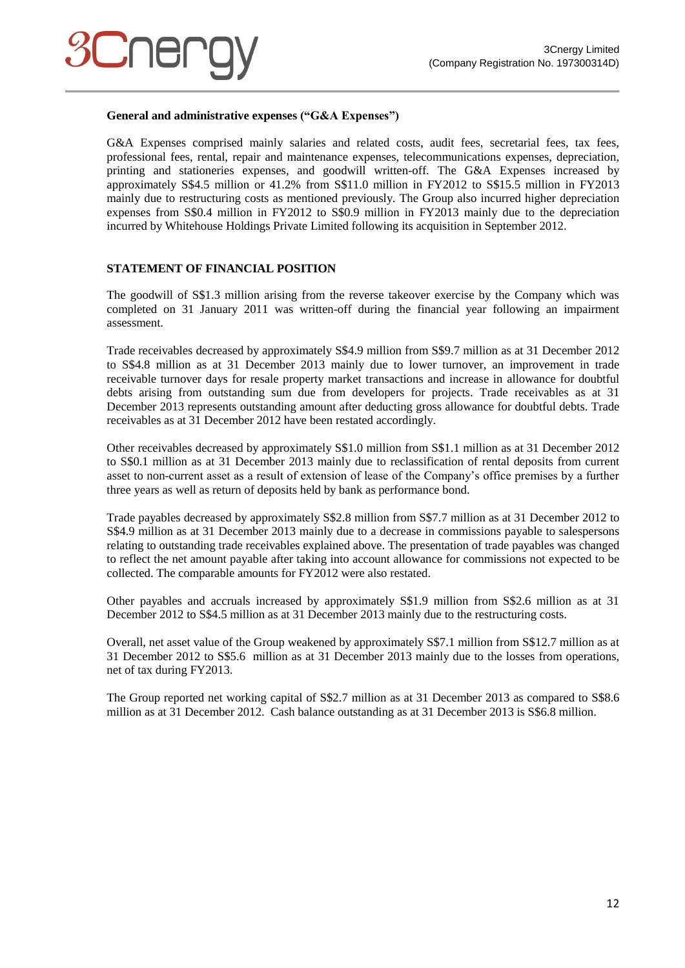

## **General and administrative expenses ("G&A Expenses")**

G&A Expenses comprised mainly salaries and related costs, audit fees, secretarial fees, tax fees, professional fees, rental, repair and maintenance expenses, telecommunications expenses, depreciation, printing and stationeries expenses, and goodwill written-off. The G&A Expenses increased by approximately S\$4.5 million or 41.2% from S\$11.0 million in FY2012 to S\$15.5 million in FY2013 mainly due to restructuring costs as mentioned previously. The Group also incurred higher depreciation expenses from S\$0.4 million in FY2012 to S\$0.9 million in FY2013 mainly due to the depreciation incurred by Whitehouse Holdings Private Limited following its acquisition in September 2012.

## **STATEMENT OF FINANCIAL POSITION**

The goodwill of S\$1.3 million arising from the reverse takeover exercise by the Company which was completed on 31 January 2011 was written-off during the financial year following an impairment assessment.

Trade receivables decreased by approximately S\$4.9 million from S\$9.7 million as at 31 December 2012 to S\$4.8 million as at 31 December 2013 mainly due to lower turnover, an improvement in trade receivable turnover days for resale property market transactions and increase in allowance for doubtful debts arising from outstanding sum due from developers for projects. Trade receivables as at 31 December 2013 represents outstanding amount after deducting gross allowance for doubtful debts. Trade receivables as at 31 December 2012 have been restated accordingly.

Other receivables decreased by approximately S\$1.0 million from S\$1.1 million as at 31 December 2012 to S\$0.1 million as at 31 December 2013 mainly due to reclassification of rental deposits from current asset to non-current asset as a result of extension of lease of the Company's office premises by a further three years as well as return of deposits held by bank as performance bond.

Trade payables decreased by approximately S\$2.8 million from S\$7.7 million as at 31 December 2012 to S\$4.9 million as at 31 December 2013 mainly due to a decrease in commissions payable to salespersons relating to outstanding trade receivables explained above. The presentation of trade payables was changed to reflect the net amount payable after taking into account allowance for commissions not expected to be collected. The comparable amounts for FY2012 were also restated.

Other payables and accruals increased by approximately S\$1.9 million from S\$2.6 million as at 31 December 2012 to S\$4.5 million as at 31 December 2013 mainly due to the restructuring costs.

Overall, net asset value of the Group weakened by approximately S\$7.1 million from S\$12.7 million as at 31 December 2012 to S\$5.6 million as at 31 December 2013 mainly due to the losses from operations, net of tax during FY2013.

The Group reported net working capital of S\$2.7 million as at 31 December 2013 as compared to S\$8.6 million as at 31 December 2012. Cash balance outstanding as at 31 December 2013 is S\$6.8 million.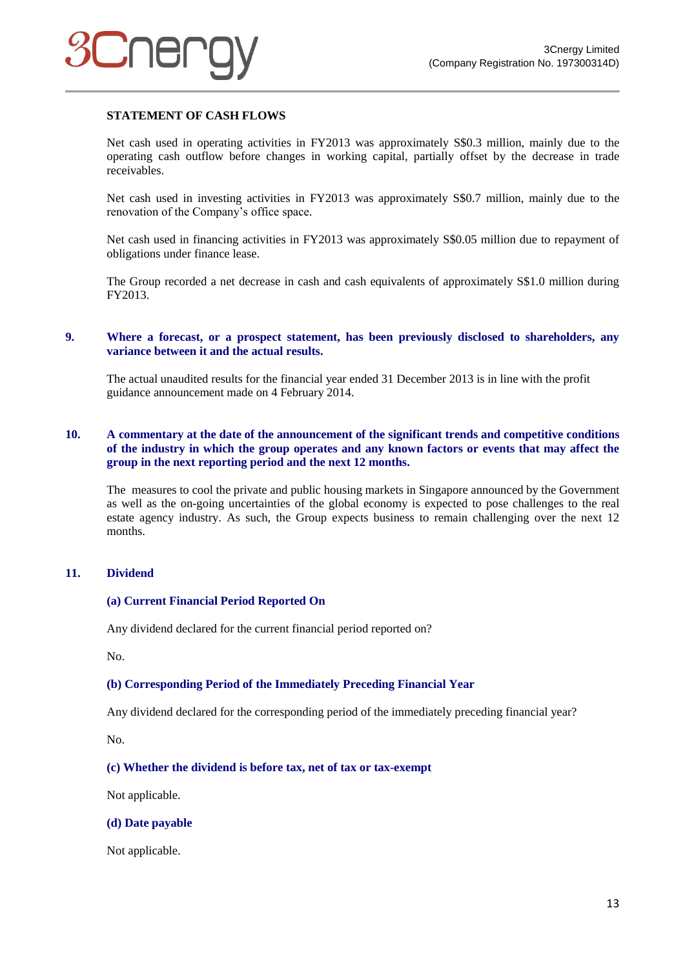## **STATEMENT OF CASH FLOWS**

Net cash used in operating activities in FY2013 was approximately S\$0.3 million, mainly due to the operating cash outflow before changes in working capital, partially offset by the decrease in trade receivables.

Net cash used in investing activities in FY2013 was approximately S\$0.7 million, mainly due to the renovation of the Company's office space.

Net cash used in financing activities in FY2013 was approximately S\$0.05 million due to repayment of obligations under finance lease.

The Group recorded a net decrease in cash and cash equivalents of approximately S\$1.0 million during FY2013.

#### **9. Where a forecast, or a prospect statement, has been previously disclosed to shareholders, any variance between it and the actual results.**

The actual unaudited results for the financial year ended 31 December 2013 is in line with the profit guidance announcement made on 4 February 2014.

## **10. A commentary at the date of the announcement of the significant trends and competitive conditions of the industry in which the group operates and any known factors or events that may affect the group in the next reporting period and the next 12 months.**

The measures to cool the private and public housing markets in Singapore announced by the Government as well as the on-going uncertainties of the global economy is expected to pose challenges to the real estate agency industry. As such, the Group expects business to remain challenging over the next 12 months.

## **11. Dividend**

#### **(a) Current Financial Period Reported On**

Any dividend declared for the current financial period reported on?

No.

#### **(b) Corresponding Period of the Immediately Preceding Financial Year**

Any dividend declared for the corresponding period of the immediately preceding financial year?

No.

#### **(c) Whether the dividend is before tax, net of tax or tax-exempt**

Not applicable.

#### **(d) Date payable**

Not applicable.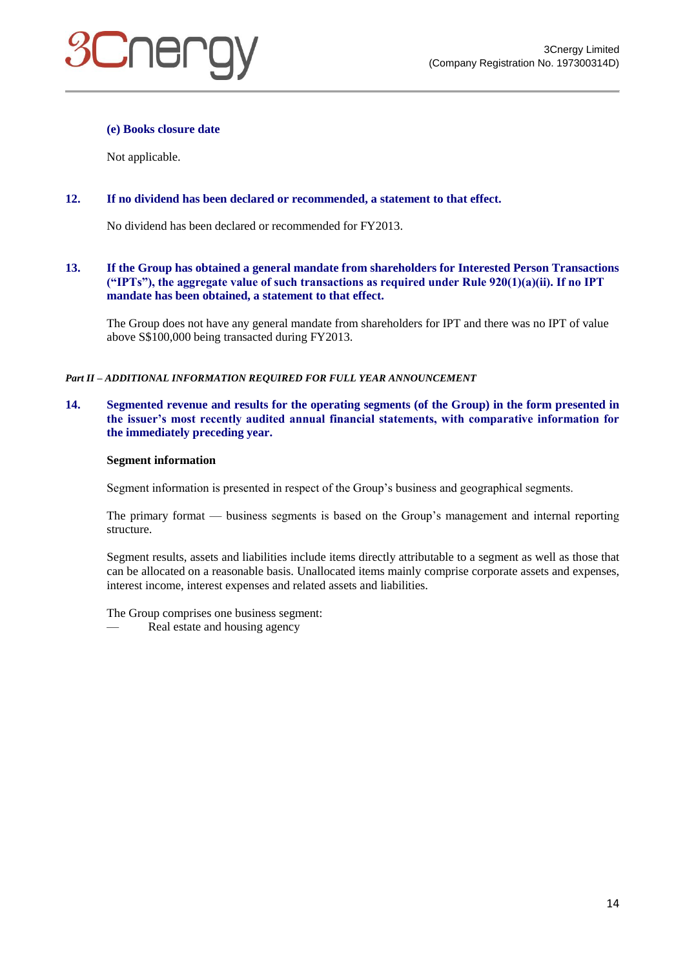

## **(e) Books closure date**

Not applicable.

## **12. If no dividend has been declared or recommended, a statement to that effect.**

No dividend has been declared or recommended for FY2013.

## **13. If the Group has obtained a general mandate from shareholders for Interested Person Transactions ("IPTs"), the aggregate value of such transactions as required under Rule 920(1)(a)(ii). If no IPT mandate has been obtained, a statement to that effect.**

The Group does not have any general mandate from shareholders for IPT and there was no IPT of value above S\$100,000 being transacted during FY2013.

*Part II – ADDITIONAL INFORMATION REQUIRED FOR FULL YEAR ANNOUNCEMENT*

## **14. Segmented revenue and results for the operating segments (of the Group) in the form presented in the issuer's most recently audited annual financial statements, with comparative information for the immediately preceding year.**

#### **Segment information**

Segment information is presented in respect of the Group's business and geographical segments.

The primary format — business segments is based on the Group's management and internal reporting structure.

Segment results, assets and liabilities include items directly attributable to a segment as well as those that can be allocated on a reasonable basis. Unallocated items mainly comprise corporate assets and expenses, interest income, interest expenses and related assets and liabilities.

The Group comprises one business segment:

Real estate and housing agency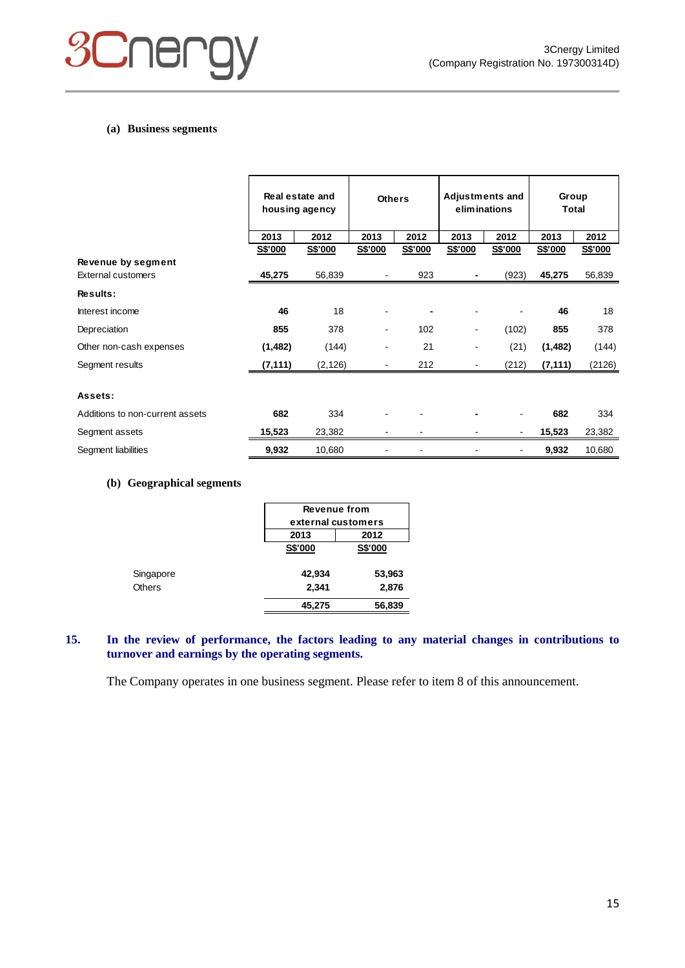

## **(a) Business segments**

|                                 | Real estate and<br><b>Others</b><br>housing agency |          |         | <b>Adjustments and</b><br>eliminations |                | Group<br><b>Total</b> |          |         |
|---------------------------------|----------------------------------------------------|----------|---------|----------------------------------------|----------------|-----------------------|----------|---------|
|                                 | 2013                                               | 2012     | 2013    | 2012                                   | 2013           | 2012                  | 2013     | 2012    |
|                                 | S\$'000                                            | S\$'000  | S\$'000 | S\$'000                                | S\$'000        | S\$'000               | S\$'000  | S\$'000 |
| Revenue by segment              |                                                    |          |         |                                        |                |                       |          |         |
| <b>External customers</b>       | 45,275                                             | 56,839   |         | 923                                    |                | (923)                 | 45,275   | 56,839  |
| Results:                        |                                                    |          |         |                                        |                |                       |          |         |
| Interest income                 | 46                                                 | 18       |         |                                        |                |                       | 46       | 18      |
| Depreciation                    | 855                                                | 378      |         | 102                                    | $\blacksquare$ | (102)                 | 855      | 378     |
| Other non-cash expenses         | (1, 482)                                           | (144)    |         | 21                                     |                | (21)                  | (1,482)  | (144)   |
| Segment results                 | (7,111)                                            | (2, 126) |         | 212                                    |                | (212)                 | (7, 111) | (2126)  |
|                                 |                                                    |          |         |                                        |                |                       |          |         |
| Assets:                         |                                                    |          |         |                                        |                |                       |          |         |
| Additions to non-current assets | 682                                                | 334      |         |                                        |                |                       | 682      | 334     |
| Segment assets                  | 15,523                                             | 23,382   |         |                                        |                |                       | 15,523   | 23,382  |
| Segment liabilities             | 9,932                                              | 10,680   |         |                                        |                |                       | 9,932    | 10,680  |

#### **(b) Geographical segments**

|               |                | <b>Revenue from</b> |  |  |
|---------------|----------------|---------------------|--|--|
|               |                | external customers  |  |  |
|               | 2013           | 2012                |  |  |
|               | <b>S\$'000</b> | <b>S\$'000</b>      |  |  |
| Singapore     | 42,934         | 53,963              |  |  |
| <b>Others</b> | 2,341          | 2,876               |  |  |
|               | 45,275         | 56,839              |  |  |

## **15. In the review of performance, the factors leading to any material changes in contributions to turnover and earnings by the operating segments.**

The Company operates in one business segment. Please refer to item 8 of this announcement.